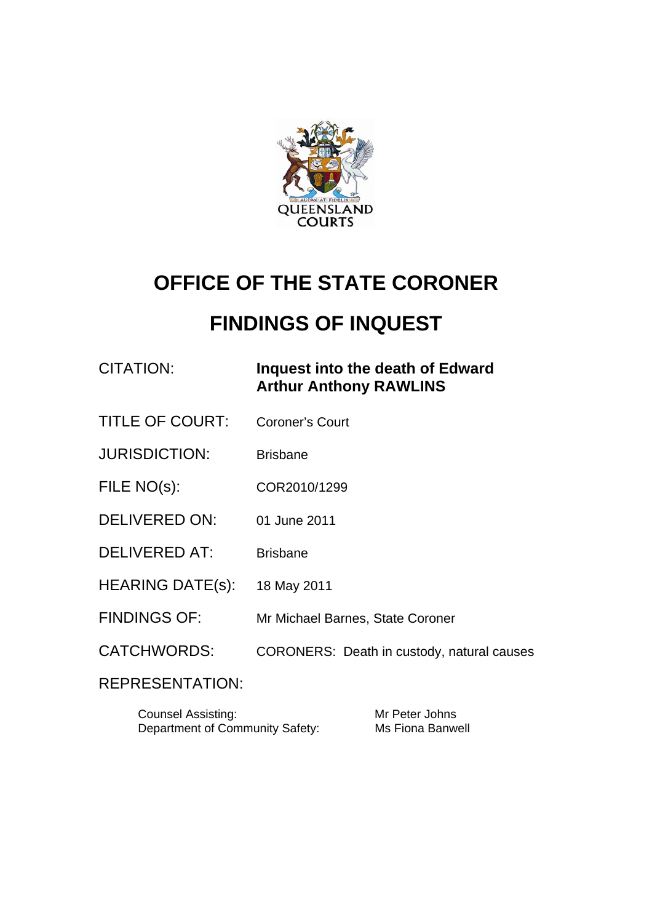

# **OFFICE OF THE STATE CORONER**

# **FINDINGS OF INQUEST**

# CITATION: **Inquest into the death of Edward Arthur Anthony RAWLINS**

- TITLE OF COURT: Coroner's Court
- JURISDICTION: Brisbane
- FILE NO(s): COR2010/1299
- DELIVERED ON: 01 June 2011
- DELIVERED AT: Brisbane
- HEARING DATE(s): 18 May 2011
- FINDINGS OF: Mr Michael Barnes, State Coroner
- CATCHWORDS: CORONERS: Death in custody, natural causes

# REPRESENTATION:

| <b>Counsel Assisting:</b>       | Mr Peter Johns   |
|---------------------------------|------------------|
| Department of Community Safety: | Ms Fiona Banwell |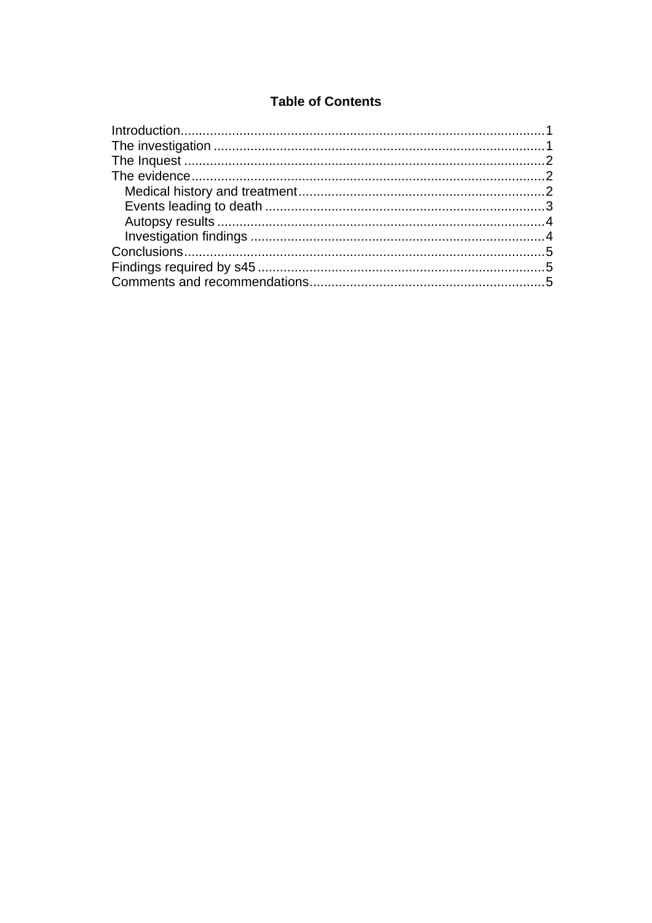#### **Table of Contents**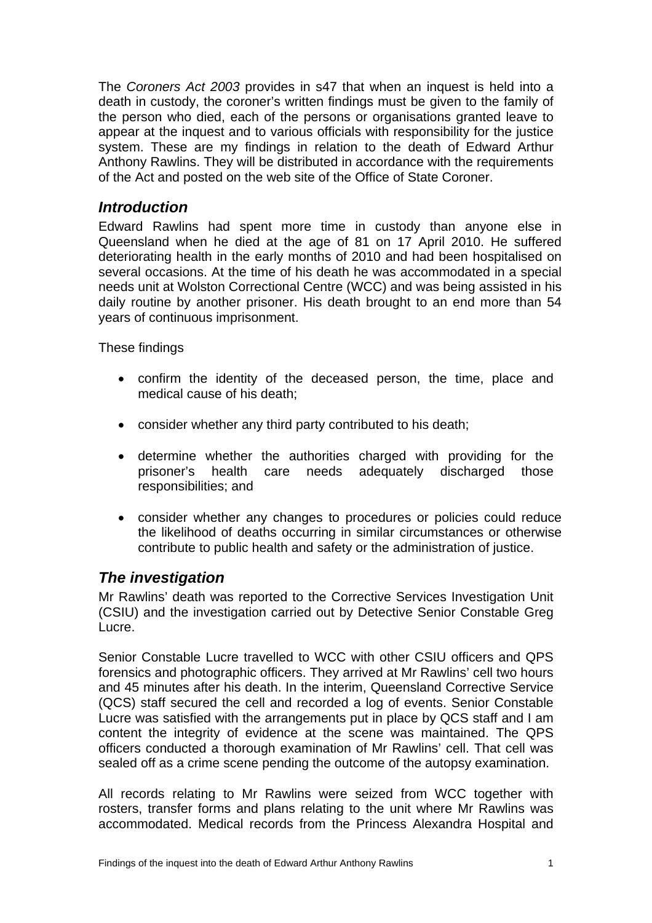<span id="page-2-0"></span>The *Coroners Act 2003* provides in s47 that when an inquest is held into a death in custody, the coroner's written findings must be given to the family of the person who died, each of the persons or organisations granted leave to appear at the inquest and to various officials with responsibility for the justice system. These are my findings in relation to the death of Edward Arthur Anthony Rawlins. They will be distributed in accordance with the requirements of the Act and posted on the web site of the Office of State Coroner.

#### *Introduction*

Edward Rawlins had spent more time in custody than anyone else in Queensland when he died at the age of 81 on 17 April 2010. He suffered deteriorating health in the early months of 2010 and had been hospitalised on several occasions. At the time of his death he was accommodated in a special needs unit at Wolston Correctional Centre (WCC) and was being assisted in his daily routine by another prisoner. His death brought to an end more than 54 years of continuous imprisonment.

These findings

- confirm the identity of the deceased person, the time, place and medical cause of his death;
- consider whether any third party contributed to his death;
- determine whether the authorities charged with providing for the prisoner's health care needs adequately discharged those responsibilities; and
- consider whether any changes to procedures or policies could reduce the likelihood of deaths occurring in similar circumstances or otherwise contribute to public health and safety or the administration of justice.

# *The investigation*

Mr Rawlins' death was reported to the Corrective Services Investigation Unit (CSIU) and the investigation carried out by Detective Senior Constable Greg Lucre.

Senior Constable Lucre travelled to WCC with other CSIU officers and QPS forensics and photographic officers. They arrived at Mr Rawlins' cell two hours and 45 minutes after his death. In the interim, Queensland Corrective Service (QCS) staff secured the cell and recorded a log of events. Senior Constable Lucre was satisfied with the arrangements put in place by QCS staff and I am content the integrity of evidence at the scene was maintained. The QPS officers conducted a thorough examination of Mr Rawlins' cell. That cell was sealed off as a crime scene pending the outcome of the autopsy examination.

All records relating to Mr Rawlins were seized from WCC together with rosters, transfer forms and plans relating to the unit where Mr Rawlins was accommodated. Medical records from the Princess Alexandra Hospital and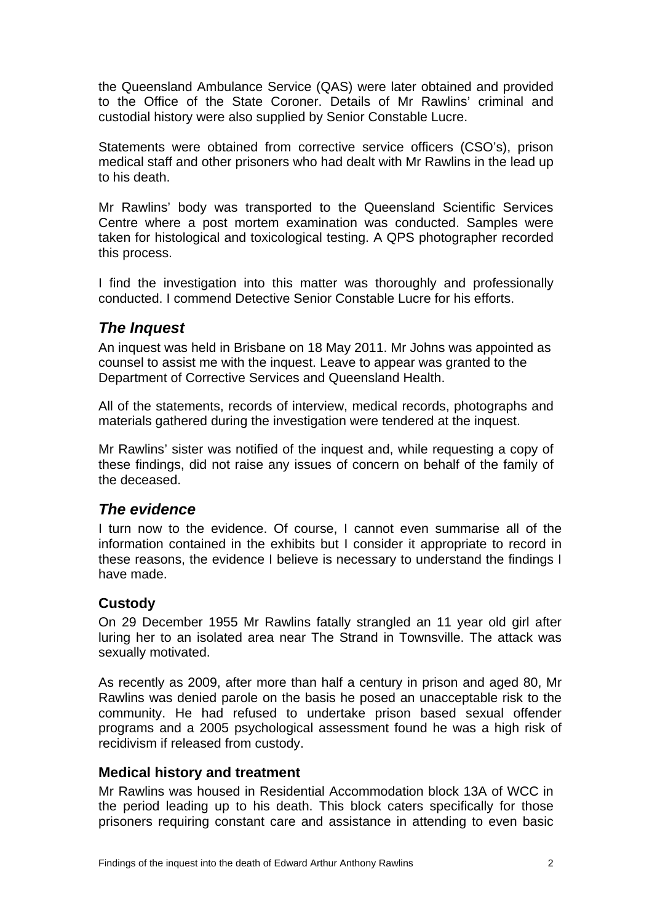<span id="page-3-0"></span>the Queensland Ambulance Service (QAS) were later obtained and provided to the Office of the State Coroner. Details of Mr Rawlins' criminal and custodial history were also supplied by Senior Constable Lucre.

Statements were obtained from corrective service officers (CSO's), prison medical staff and other prisoners who had dealt with Mr Rawlins in the lead up to his death.

Mr Rawlins' body was transported to the Queensland Scientific Services Centre where a post mortem examination was conducted. Samples were taken for histological and toxicological testing. A QPS photographer recorded this process.

I find the investigation into this matter was thoroughly and professionally conducted. I commend Detective Senior Constable Lucre for his efforts.

# *The Inquest*

An inquest was held in Brisbane on 18 May 2011. Mr Johns was appointed as counsel to assist me with the inquest. Leave to appear was granted to the Department of Corrective Services and Queensland Health.

All of the statements, records of interview, medical records, photographs and materials gathered during the investigation were tendered at the inquest.

Mr Rawlins' sister was notified of the inquest and, while requesting a copy of these findings, did not raise any issues of concern on behalf of the family of the deceased.

# *The evidence*

I turn now to the evidence. Of course, I cannot even summarise all of the information contained in the exhibits but I consider it appropriate to record in these reasons, the evidence I believe is necessary to understand the findings I have made.

#### **Custody**

On 29 December 1955 Mr Rawlins fatally strangled an 11 year old girl after luring her to an isolated area near The Strand in Townsville. The attack was sexually motivated.

As recently as 2009, after more than half a century in prison and aged 80, Mr Rawlins was denied parole on the basis he posed an unacceptable risk to the community. He had refused to undertake prison based sexual offender programs and a 2005 psychological assessment found he was a high risk of recidivism if released from custody.

#### **Medical history and treatment**

Mr Rawlins was housed in Residential Accommodation block 13A of WCC in the period leading up to his death. This block caters specifically for those prisoners requiring constant care and assistance in attending to even basic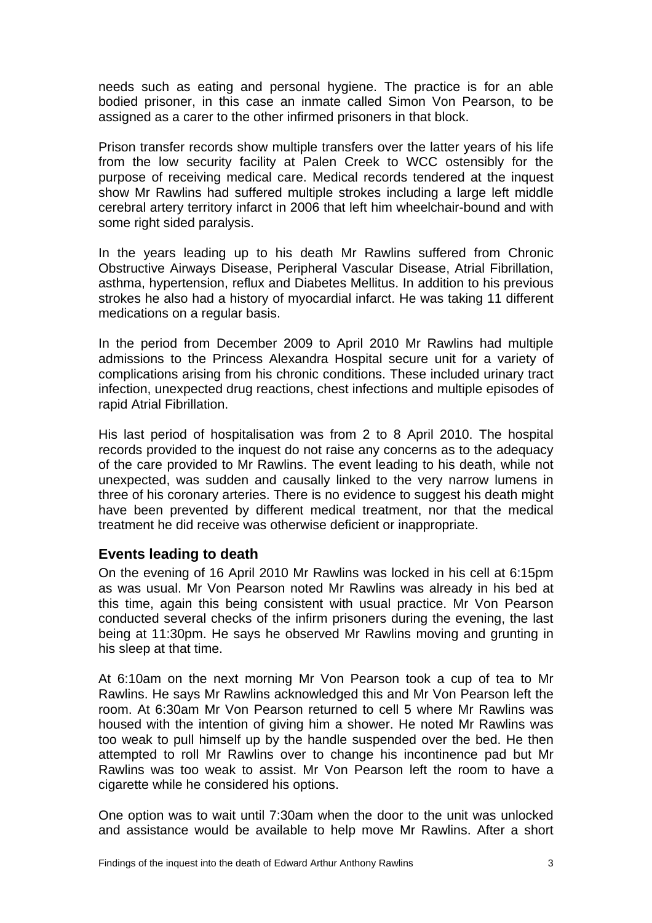<span id="page-4-0"></span>needs such as eating and personal hygiene. The practice is for an able bodied prisoner, in this case an inmate called Simon Von Pearson, to be assigned as a carer to the other infirmed prisoners in that block.

Prison transfer records show multiple transfers over the latter years of his life from the low security facility at Palen Creek to WCC ostensibly for the purpose of receiving medical care. Medical records tendered at the inquest show Mr Rawlins had suffered multiple strokes including a large left middle cerebral artery territory infarct in 2006 that left him wheelchair-bound and with some right sided paralysis.

In the years leading up to his death Mr Rawlins suffered from Chronic Obstructive Airways Disease, Peripheral Vascular Disease, Atrial Fibrillation, asthma, hypertension, reflux and Diabetes Mellitus. In addition to his previous strokes he also had a history of myocardial infarct. He was taking 11 different medications on a regular basis.

In the period from December 2009 to April 2010 Mr Rawlins had multiple admissions to the Princess Alexandra Hospital secure unit for a variety of complications arising from his chronic conditions. These included urinary tract infection, unexpected drug reactions, chest infections and multiple episodes of rapid Atrial Fibrillation.

His last period of hospitalisation was from 2 to 8 April 2010. The hospital records provided to the inquest do not raise any concerns as to the adequacy of the care provided to Mr Rawlins. The event leading to his death, while not unexpected, was sudden and causally linked to the very narrow lumens in three of his coronary arteries. There is no evidence to suggest his death might have been prevented by different medical treatment, nor that the medical treatment he did receive was otherwise deficient or inappropriate.

#### **Events leading to death**

On the evening of 16 April 2010 Mr Rawlins was locked in his cell at 6:15pm as was usual. Mr Von Pearson noted Mr Rawlins was already in his bed at this time, again this being consistent with usual practice. Mr Von Pearson conducted several checks of the infirm prisoners during the evening, the last being at 11:30pm. He says he observed Mr Rawlins moving and grunting in his sleep at that time.

At 6:10am on the next morning Mr Von Pearson took a cup of tea to Mr Rawlins. He says Mr Rawlins acknowledged this and Mr Von Pearson left the room. At 6:30am Mr Von Pearson returned to cell 5 where Mr Rawlins was housed with the intention of giving him a shower. He noted Mr Rawlins was too weak to pull himself up by the handle suspended over the bed. He then attempted to roll Mr Rawlins over to change his incontinence pad but Mr Rawlins was too weak to assist. Mr Von Pearson left the room to have a cigarette while he considered his options.

One option was to wait until 7:30am when the door to the unit was unlocked and assistance would be available to help move Mr Rawlins. After a short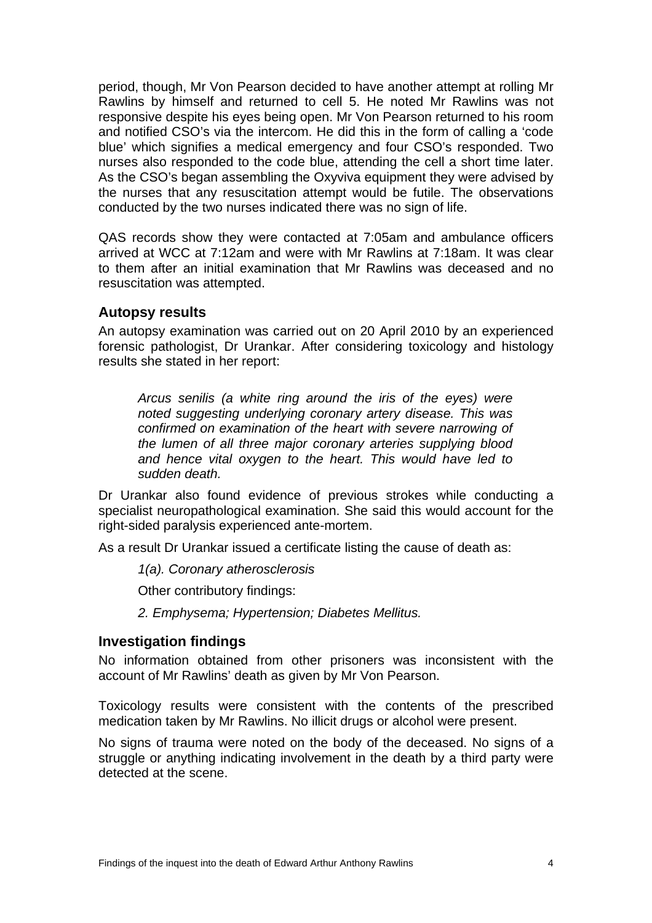<span id="page-5-0"></span>period, though, Mr Von Pearson decided to have another attempt at rolling Mr Rawlins by himself and returned to cell 5. He noted Mr Rawlins was not responsive despite his eyes being open. Mr Von Pearson returned to his room and notified CSO's via the intercom. He did this in the form of calling a 'code blue' which signifies a medical emergency and four CSO's responded. Two nurses also responded to the code blue, attending the cell a short time later. As the CSO's began assembling the Oxyviva equipment they were advised by the nurses that any resuscitation attempt would be futile. The observations conducted by the two nurses indicated there was no sign of life.

QAS records show they were contacted at 7:05am and ambulance officers arrived at WCC at 7:12am and were with Mr Rawlins at 7:18am. It was clear to them after an initial examination that Mr Rawlins was deceased and no resuscitation was attempted.

#### **Autopsy results**

An autopsy examination was carried out on 20 April 2010 by an experienced forensic pathologist, Dr Urankar. After considering toxicology and histology results she stated in her report:

*Arcus senilis (a white ring around the iris of the eyes) were noted suggesting underlying coronary artery disease. This was confirmed on examination of the heart with severe narrowing of the lumen of all three major coronary arteries supplying blood and hence vital oxygen to the heart. This would have led to sudden death.* 

Dr Urankar also found evidence of previous strokes while conducting a specialist neuropathological examination. She said this would account for the right-sided paralysis experienced ante-mortem.

As a result Dr Urankar issued a certificate listing the cause of death as:

*1(a). Coronary atherosclerosis* 

Other contributory findings:

*2. Emphysema; Hypertension; Diabetes Mellitus.* 

#### **Investigation findings**

No information obtained from other prisoners was inconsistent with the account of Mr Rawlins' death as given by Mr Von Pearson.

Toxicology results were consistent with the contents of the prescribed medication taken by Mr Rawlins. No illicit drugs or alcohol were present.

No signs of trauma were noted on the body of the deceased. No signs of a struggle or anything indicating involvement in the death by a third party were detected at the scene.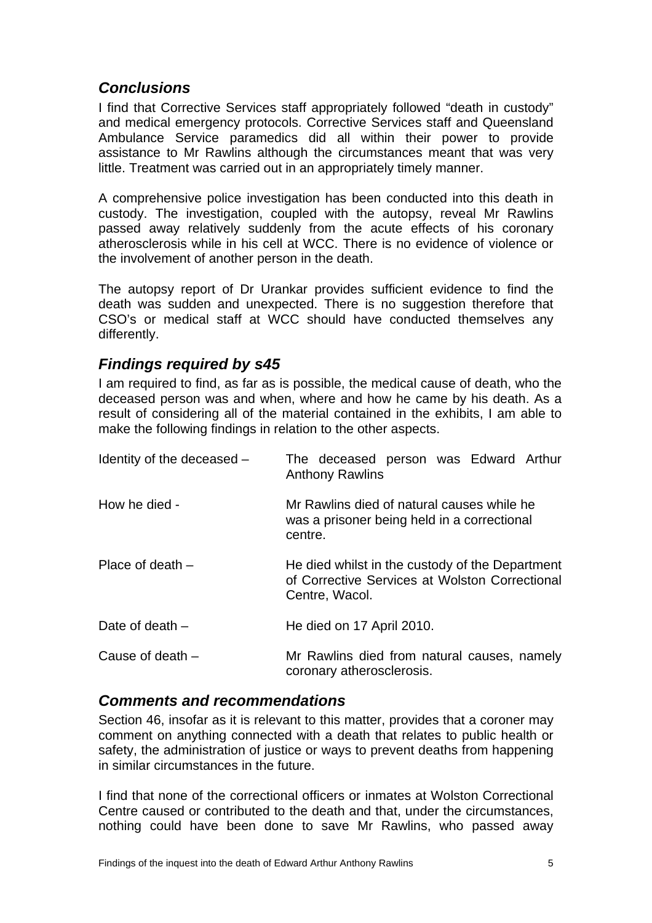# <span id="page-6-0"></span>*Conclusions*

I find that Corrective Services staff appropriately followed "death in custody" and medical emergency protocols. Corrective Services staff and Queensland Ambulance Service paramedics did all within their power to provide assistance to Mr Rawlins although the circumstances meant that was very little. Treatment was carried out in an appropriately timely manner.

A comprehensive police investigation has been conducted into this death in custody. The investigation, coupled with the autopsy, reveal Mr Rawlins passed away relatively suddenly from the acute effects of his coronary atherosclerosis while in his cell at WCC. There is no evidence of violence or the involvement of another person in the death.

The autopsy report of Dr Urankar provides sufficient evidence to find the death was sudden and unexpected. There is no suggestion therefore that CSO's or medical staff at WCC should have conducted themselves any differently.

# *Findings required by s45*

I am required to find, as far as is possible, the medical cause of death, who the deceased person was and when, where and how he came by his death. As a result of considering all of the material contained in the exhibits, I am able to make the following findings in relation to the other aspects.

| Identity of the deceased - | The deceased person was Edward Arthur<br><b>Anthony Rawlins</b>                                                     |
|----------------------------|---------------------------------------------------------------------------------------------------------------------|
| How he died -              | Mr Rawlins died of natural causes while he<br>was a prisoner being held in a correctional<br>centre.                |
| Place of death $-$         | He died whilst in the custody of the Department<br>of Corrective Services at Wolston Correctional<br>Centre, Wacol. |
| Date of death $-$          | He died on 17 April 2010.                                                                                           |
| Cause of death $-$         | Mr Rawlins died from natural causes, namely<br>coronary atherosclerosis.                                            |

#### *Comments and recommendations*

Section 46, insofar as it is relevant to this matter, provides that a coroner may comment on anything connected with a death that relates to public health or safety, the administration of justice or ways to prevent deaths from happening in similar circumstances in the future.

I find that none of the correctional officers or inmates at Wolston Correctional Centre caused or contributed to the death and that, under the circumstances, nothing could have been done to save Mr Rawlins, who passed away